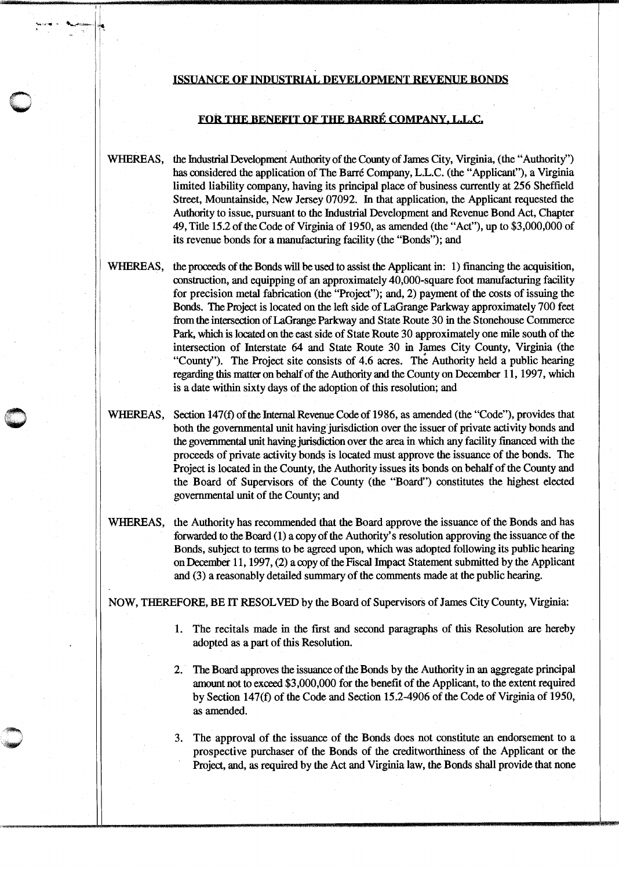## ISSUANCE OF INDUSTRIAL DEYELOPMENT REVENUE BONDS

11

I

 $\frac{1}{\sqrt{2}}$ 

## FOR THE BENEFIT OF THE BARRE COMPANY, L.L.C.

WHEREAS, the Industrial Development Authority of the County of James City, Virginia, (the "Authority") has considered the application of The Barre Company, L.L.C. (the "Applicant"), a Virginia limited liability company, having its principal place of business currently at 256 Sheffield Street, Mountainside, New Jersey 07092. In that application, the Applicant requested the Authority to issue, pursuant to the Industrial Development and Revenue Bond Act, Chapter 49, Title 15.2 of the Code of Virginia of 1950, as amended (the "Act"), up to \$3,000,000 of its revenue bonds for a manufacturing facility (the "Bonds"); and

WHEREAS, the proceeds of the Bonds will be used to assist the Applicant in: 1) fmancing the acquisition, construction, and equipping of an approximately 40,000-square foot manufacturing facility for precision metal fabrication (the "Project"); and, 2) payment of the costs of issuing the Bonds. The Project is located on the left side of LaGrange Parkway approximately 700 feet from the intersection of LaGrange Parkway and State Route 30 in the Stonehouse Commerce Park, which is located on the east side of State Route 30 approximately one mile south of the intersection of futerstate 64 and State Route 30 in James City County, Virginia (the "County''). The Project site consists of 4.6 acres. The Authority held a public hearing regarding this matter on behalf of the Authority and the County on December 11, 1997, which is a date within sixty days of the adoption of this resolution; and

WHEREAS, Section 147(f) of the Internal Revenue Code of 1986, as amended (the "Code"), provides that both the governmental unit having jurisdiction over the issuer of private activity bonds and the governmental unit having jurisdiction over the area in which any facility fmanced with the proceeds of private activity bonds is located must approve the issuance of the bonds. The Project is located in the County, the Authority issues its bonds on behalf of the County and the Board of Supervisors of the County (the "Board") constitutes the highest elected governmental unit of the County; and

WHEREAS, the Authority has recommended that the Board approve the issuance of the Bonds and has forwarded to the Board (1) a copy of the Authority's resolution approving the issuance of the Bonds, subject to terms to be agreed upon, which was adopted following its public hearing on December 11, 1997, (2) a copy of the Fiscal Impact Statement submitted by the Applicant and (3) a reasonably detailed summary of the comments made at the public hearing.

NOW, THEREFORE, BE IT RESOLVED by the Board of Supervisors of James City County, Virginia:

- 1. The recitals made in the first and second paragraphs of this Resolution are hereby adopted as a part of this Resolution.
- 2. The Board approves the issuance of the Bonds by the Authority in an aggregate principal amount not to exceed \$3 ,000,000 for the benefit of the Applicant, to the extent required by Section 147(f) of the Code and Section 15.2-4906 of the Code of Virginia of 1950, as amended.
- 3. The approval of the issuance of the Bonds does not constitute an endorsement to a prospective purchaser of the Bonds of the creditworthiness of the Applicant or the Project, and, as required by the Act and Virginia law, the Bonds shall provide that none